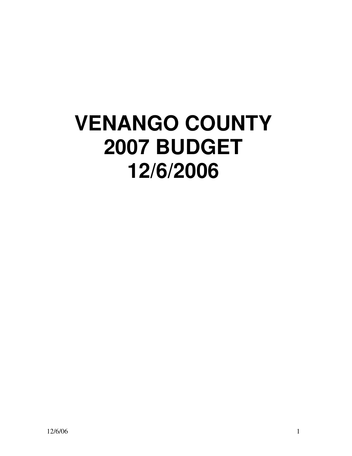# **VENANGO COUNTY 2007 BUDGET 12/6/2006**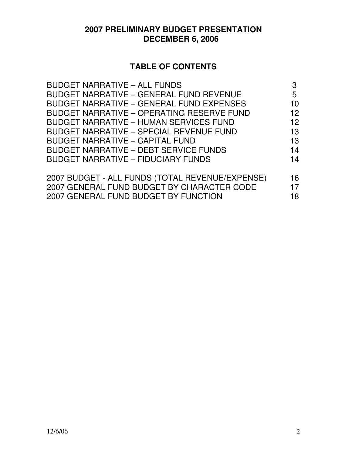# **2007 PRELIMINARY BUDGET PRESENTATION DECEMBER 6, 2006**

# **TABLE OF CONTENTS**

| <b>BUDGET NARRATIVE - ALL FUNDS</b>              | 3               |
|--------------------------------------------------|-----------------|
| <b>BUDGET NARRATIVE - GENERAL FUND REVENUE</b>   | 5               |
| <b>BUDGET NARRATIVE - GENERAL FUND EXPENSES</b>  | 10              |
| <b>BUDGET NARRATIVE - OPERATING RESERVE FUND</b> | 12 <sup>2</sup> |
| <b>BUDGET NARRATIVE - HUMAN SERVICES FUND</b>    | 12 <sup>2</sup> |
| <b>BUDGET NARRATIVE - SPECIAL REVENUE FUND</b>   | 13              |
| <b>BUDGET NARRATIVE - CAPITAL FUND</b>           | 13              |
| <b>BUDGET NARRATIVE - DEBT SERVICE FUNDS</b>     | 14              |
| <b>BUDGET NARRATIVE - FIDUCIARY FUNDS</b>        | 14              |
|                                                  |                 |
| 2007 BUDGET - ALL FUNDS (TOTAL REVENUE/EXPENSE)  | 16              |
| 2007 GENERAL FUND BUDGET BY CHARACTER CODE       | 17              |
| 2007 GENERAL FUND BUDGET BY FUNCTION             | 18              |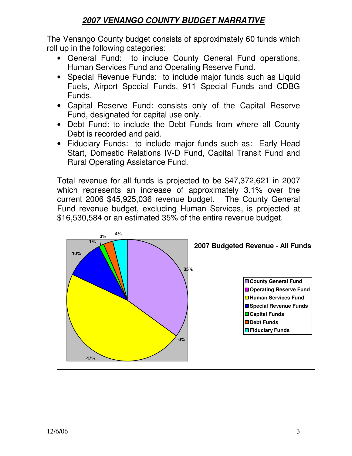# **2007 VENANGO COUNTY BUDGET NARRATIVE**

The Venango County budget consists of approximately 60 funds which roll up in the following categories:

- General Fund: to include County General Fund operations, Human Services Fund and Operating Reserve Fund.
- Special Revenue Funds: to include major funds such as Liquid Fuels, Airport Special Funds, 911 Special Funds and CDBG Funds.
- Capital Reserve Fund: consists only of the Capital Reserve Fund, designated for capital use only.
- Debt Fund: to include the Debt Funds from where all County Debt is recorded and paid.
- Fiduciary Funds: to include major funds such as: Early Head Start, Domestic Relations IV-D Fund, Capital Transit Fund and Rural Operating Assistance Fund.

Total revenue for all funds is projected to be \$47,372,621 in 2007 which represents an increase of approximately 3.1% over the current 2006 \$45,925,036 revenue budget. The County General Fund revenue budget, excluding Human Services, is projected at \$16,530,584 or an estimated 35% of the entire revenue budget.

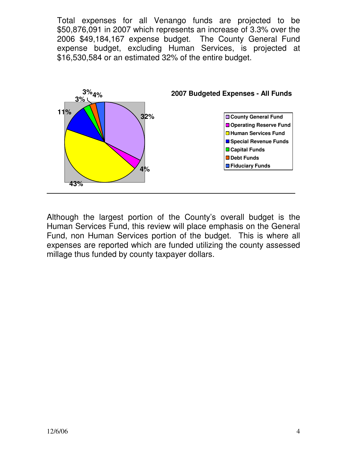Total expenses for all Venango funds are projected to be \$50,876,091 in 2007 which represents an increase of 3.3% over the 2006 \$49,184,167 expense budget. The County General Fund expense budget, excluding Human Services, is projected at \$16,530,584 or an estimated 32% of the entire budget.



Although the largest portion of the County's overall budget is the Human Services Fund, this review will place emphasis on the General Fund, non Human Services portion of the budget. This is where all expenses are reported which are funded utilizing the county assessed millage thus funded by county taxpayer dollars.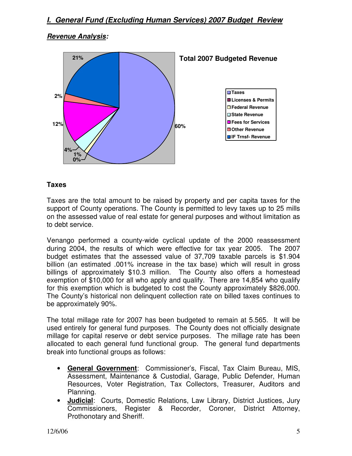#### **Revenue Analysis:**



#### **Taxes**

Taxes are the total amount to be raised by property and per capita taxes for the support of County operations. The County is permitted to levy taxes up to 25 mills on the assessed value of real estate for general purposes and without limitation as to debt service.

Venango performed a county-wide cyclical update of the 2000 reassessment during 2004, the results of which were effective for tax year 2005. The 2007 budget estimates that the assessed value of 37,709 taxable parcels is \$1.904 billion (an estimated .001% increase in the tax base) which will result in gross billings of approximately \$10.3 million. The County also offers a homestead exemption of \$10,000 for all who apply and qualify. There are 14,854 who qualify for this exemption which is budgeted to cost the County approximately \$826,000. The County's historical non delinquent collection rate on billed taxes continues to be approximately 90%.

The total millage rate for 2007 has been budgeted to remain at 5.565. It will be used entirely for general fund purposes. The County does not officially designate millage for capital reserve or debt service purposes. The millage rate has been allocated to each general fund functional group. The general fund departments break into functional groups as follows:

- **General Government**: Commissioner's, Fiscal, Tax Claim Bureau, MIS, Assessment, Maintenance & Custodial, Garage, Public Defender, Human Resources, Voter Registration, Tax Collectors, Treasurer, Auditors and Planning.
- **Judicial**: Courts, Domestic Relations, Law Library, District Justices, Jury Commissioners, Register & Recorder, Coroner, District Attorney, Prothonotary and Sheriff.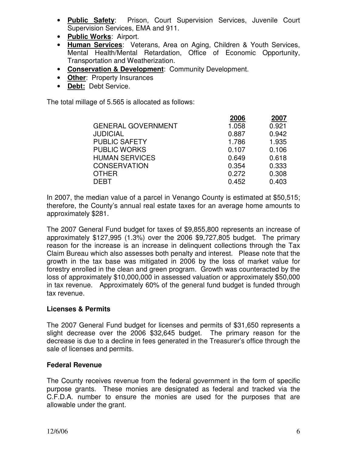- **Public Safety**: Prison, Court Supervision Services, Juvenile Court Supervision Services, EMA and 911.
- **Public Works**: Airport.
- **Human Services**: Veterans, Area on Aging, Children & Youth Services, Mental Health/Mental Retardation, Office of Economic Opportunity, Transportation and Weatherization.
- **Conservation & Development**: Community Development.
- **Other**: Property Insurances
- **Debt:** Debt Service.

The total millage of 5.565 is allocated as follows:

|                           | 2006  | 2007  |
|---------------------------|-------|-------|
| <b>GENERAL GOVERNMENT</b> | 1.058 | 0.921 |
| <b>JUDICIAL</b>           | 0.887 | 0.942 |
| <b>PUBLIC SAFETY</b>      | 1.786 | 1.935 |
| <b>PUBLIC WORKS</b>       | 0.107 | 0.106 |
| <b>HUMAN SERVICES</b>     | 0.649 | 0.618 |
| <b>CONSERVATION</b>       | 0.354 | 0.333 |
| <b>OTHER</b>              | 0.272 | 0.308 |
| <b>DEBT</b>               | 0.452 | 0.403 |

In 2007, the median value of a parcel in Venango County is estimated at \$50,515; therefore, the County's annual real estate taxes for an average home amounts to approximately \$281.

The 2007 General Fund budget for taxes of \$9,855,800 represents an increase of approximately \$127,995 (1.3%) over the 2006 \$9,727,805 budget. The primary reason for the increase is an increase in delinquent collections through the Tax Claim Bureau which also assesses both penalty and interest. Please note that the growth in the tax base was mitigated in 2006 by the loss of market value for forestry enrolled in the clean and green program. Growth was counteracted by the loss of approximately \$10,000,000 in assessed valuation or approximately \$50,000 in tax revenue. Approximately 60% of the general fund budget is funded through tax revenue.

### **Licenses & Permits**

The 2007 General Fund budget for licenses and permits of \$31,650 represents a slight decrease over the 2006 \$32,645 budget. The primary reason for the decrease is due to a decline in fees generated in the Treasurer's office through the sale of licenses and permits.

#### **Federal Revenue**

The County receives revenue from the federal government in the form of specific purpose grants. These monies are designated as federal and tracked via the C.F.D.A. number to ensure the monies are used for the purposes that are allowable under the grant.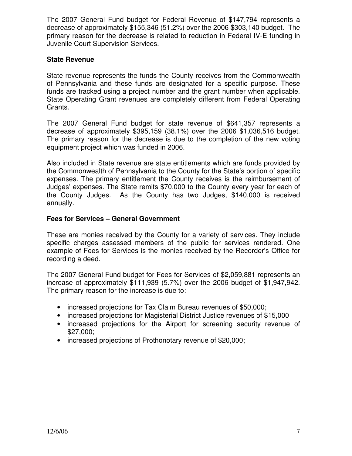The 2007 General Fund budget for Federal Revenue of \$147,794 represents a decrease of approximately \$155,346 (51.2%) over the 2006 \$303,140 budget. The primary reason for the decrease is related to reduction in Federal IV-E funding in Juvenile Court Supervision Services.

#### **State Revenue**

State revenue represents the funds the County receives from the Commonwealth of Pennsylvania and these funds are designated for a specific purpose. These funds are tracked using a project number and the grant number when applicable. State Operating Grant revenues are completely different from Federal Operating Grants.

The 2007 General Fund budget for state revenue of \$641,357 represents a decrease of approximately \$395,159 (38.1%) over the 2006 \$1,036,516 budget. The primary reason for the decrease is due to the completion of the new voting equipment project which was funded in 2006.

Also included in State revenue are state entitlements which are funds provided by the Commonwealth of Pennsylvania to the County for the State's portion of specific expenses. The primary entitlement the County receives is the reimbursement of Judges' expenses. The State remits \$70,000 to the County every year for each of the County Judges. As the County has two Judges, \$140,000 is received annually.

#### **Fees for Services – General Government**

These are monies received by the County for a variety of services. They include specific charges assessed members of the public for services rendered. One example of Fees for Services is the monies received by the Recorder's Office for recording a deed.

The 2007 General Fund budget for Fees for Services of \$2,059,881 represents an increase of approximately \$111,939 (5.7%) over the 2006 budget of \$1,947,942. The primary reason for the increase is due to:

- increased projections for Tax Claim Bureau revenues of \$50,000;
- increased projections for Magisterial District Justice revenues of \$15,000
- increased projections for the Airport for screening security revenue of \$27,000;
- increased projections of Prothonotary revenue of \$20,000;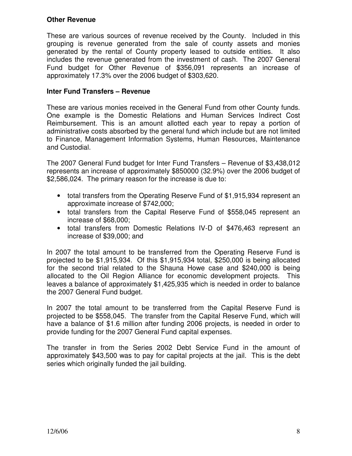#### **Other Revenue**

These are various sources of revenue received by the County. Included in this grouping is revenue generated from the sale of county assets and monies generated by the rental of County property leased to outside entities. It also includes the revenue generated from the investment of cash. The 2007 General Fund budget for Other Revenue of \$356,091 represents an increase of approximately 17.3% over the 2006 budget of \$303,620.

#### **Inter Fund Transfers – Revenue**

These are various monies received in the General Fund from other County funds. One example is the Domestic Relations and Human Services Indirect Cost Reimbursement. This is an amount allotted each year to repay a portion of administrative costs absorbed by the general fund which include but are not limited to Finance, Management Information Systems, Human Resources, Maintenance and Custodial.

The 2007 General Fund budget for Inter Fund Transfers – Revenue of \$3,438,012 represents an increase of approximately \$850000 (32.9%) over the 2006 budget of \$2,586,024. The primary reason for the increase is due to:

- total transfers from the Operating Reserve Fund of \$1,915,934 represent an approximate increase of \$742,000;
- total transfers from the Capital Reserve Fund of \$558,045 represent an increase of \$68,000;
- total transfers from Domestic Relations IV-D of \$476,463 represent an increase of \$39,000; and

In 2007 the total amount to be transferred from the Operating Reserve Fund is projected to be \$1,915,934. Of this \$1,915,934 total, \$250,000 is being allocated for the second trial related to the Shauna Howe case and \$240,000 is being allocated to the Oil Region Alliance for economic development projects. This leaves a balance of approximately \$1,425,935 which is needed in order to balance the 2007 General Fund budget.

In 2007 the total amount to be transferred from the Capital Reserve Fund is projected to be \$558,045. The transfer from the Capital Reserve Fund, which will have a balance of \$1.6 million after funding 2006 projects, is needed in order to provide funding for the 2007 General Fund capital expenses.

The transfer in from the Series 2002 Debt Service Fund in the amount of approximately \$43,500 was to pay for capital projects at the jail. This is the debt series which originally funded the jail building.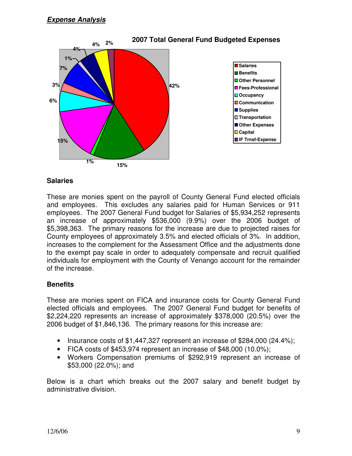

#### **Salaries**

These are monies spent on the payroll of County General Fund elected officials and employees. This excludes any salaries paid for Human Services or 911 employees. The 2007 General Fund budget for Salaries of \$5,934,252 represents an increase of approximately \$536,000 (9.9%) over the 2006 budget of \$5,398,363. The primary reasons for the increase are due to projected raises for County employees of approximately 3.5% and elected officials of 3%. In addition, increases to the complement for the Assessment Office and the adjustments done to the exempt pay scale in order to adequately compensate and recruit qualified individuals for employment with the County of Venango account for the remainder of the increase.

### **Benefits**

These are monies spent on FICA and insurance costs for County General Fund elected officials and employees. The 2007 General Fund budget for benefits of \$2,224,220 represents an increase of approximately \$378,000 (20.5%) over the 2006 budget of \$1,846,136. The primary reasons for this increase are:

- Insurance costs of \$1,447,327 represent an increase of \$284,000 (24.4%);
- FICA costs of \$453,974 represent an increase of \$48,000 (10.0%);
- Workers Compensation premiums of \$292,919 represent an increase of \$53,000 (22.0%); and

Below is a chart which breaks out the 2007 salary and benefit budget by administrative division.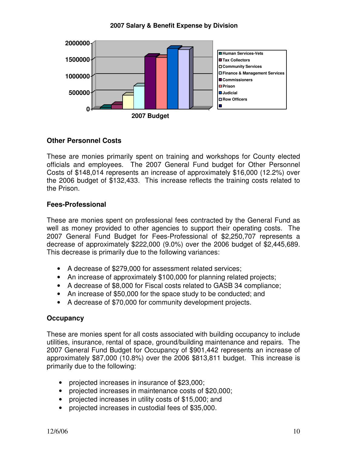#### **2007 Salary & Benefit Expense by Division**



#### **Other Personnel Costs**

These are monies primarily spent on training and workshops for County elected officials and employees. The 2007 General Fund budget for Other Personnel Costs of \$148,014 represents an increase of approximately \$16,000 (12.2%) over the 2006 budget of \$132,433. This increase reflects the training costs related to the Prison.

#### **Fees-Professional**

These are monies spent on professional fees contracted by the General Fund as well as money provided to other agencies to support their operating costs. The 2007 General Fund Budget for Fees-Professional of \$2,250,707 represents a decrease of approximately \$222,000 (9.0%) over the 2006 budget of \$2,445,689. This decrease is primarily due to the following variances:

- A decrease of \$279,000 for assessment related services;
- An increase of approximately \$100,000 for planning related projects;
- A decrease of \$8,000 for Fiscal costs related to GASB 34 compliance;
- An increase of \$50,000 for the space study to be conducted; and
- A decrease of \$70,000 for community development projects.

#### **Occupancy**

These are monies spent for all costs associated with building occupancy to include utilities, insurance, rental of space, ground/building maintenance and repairs. The 2007 General Fund Budget for Occupancy of \$901,442 represents an increase of approximately \$87,000 (10.8%) over the 2006 \$813,811 budget. This increase is primarily due to the following:

- projected increases in insurance of \$23,000;
- projected increases in maintenance costs of \$20,000;
- projected increases in utility costs of \$15,000; and
- projected increases in custodial fees of \$35,000.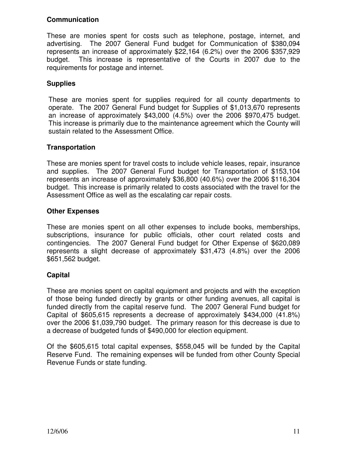#### **Communication**

These are monies spent for costs such as telephone, postage, internet, and advertising. The 2007 General Fund budget for Communication of \$380,094 represents an increase of approximately \$22,164 (6.2%) over the 2006 \$357,929 budget. This increase is representative of the Courts in 2007 due to the requirements for postage and internet.

#### **Supplies**

These are monies spent for supplies required for all county departments to operate. The 2007 General Fund budget for Supplies of \$1,013,670 represents an increase of approximately \$43,000 (4.5%) over the 2006 \$970,475 budget. This increase is primarily due to the maintenance agreement which the County will sustain related to the Assessment Office.

#### **Transportation**

These are monies spent for travel costs to include vehicle leases, repair, insurance and supplies. The 2007 General Fund budget for Transportation of \$153,104 represents an increase of approximately \$36,800 (40.6%) over the 2006 \$116,304 budget. This increase is primarily related to costs associated with the travel for the Assessment Office as well as the escalating car repair costs.

#### **Other Expenses**

These are monies spent on all other expenses to include books, memberships, subscriptions, insurance for public officials, other court related costs and contingencies. The 2007 General Fund budget for Other Expense of \$620,089 represents a slight decrease of approximately \$31,473 (4.8%) over the 2006 \$651,562 budget.

### **Capital**

These are monies spent on capital equipment and projects and with the exception of those being funded directly by grants or other funding avenues, all capital is funded directly from the capital reserve fund. The 2007 General Fund budget for Capital of \$605,615 represents a decrease of approximately \$434,000 (41.8%) over the 2006 \$1,039,790 budget. The primary reason for this decrease is due to a decrease of budgeted funds of \$490,000 for election equipment.

Of the \$605,615 total capital expenses, \$558,045 will be funded by the Capital Reserve Fund. The remaining expenses will be funded from other County Special Revenue Funds or state funding.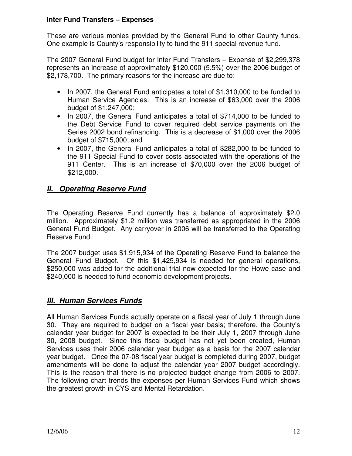#### **Inter Fund Transfers – Expenses**

These are various monies provided by the General Fund to other County funds. One example is County's responsibility to fund the 911 special revenue fund.

The 2007 General Fund budget for Inter Fund Transfers – Expense of \$2,299,378 represents an increase of approximately \$120,000 (5.5%) over the 2006 budget of \$2,178,700. The primary reasons for the increase are due to:

- In 2007, the General Fund anticipates a total of \$1,310,000 to be funded to Human Service Agencies. This is an increase of \$63,000 over the 2006 budget of \$1,247,000;
- In 2007, the General Fund anticipates a total of \$714,000 to be funded to the Debt Service Fund to cover required debt service payments on the Series 2002 bond refinancing. This is a decrease of \$1,000 over the 2006 budget of \$715,000; and
- In 2007, the General Fund anticipates a total of \$282,000 to be funded to the 911 Special Fund to cover costs associated with the operations of the 911 Center. This is an increase of \$70,000 over the 2006 budget of \$212,000.

## **II. Operating Reserve Fund**

The Operating Reserve Fund currently has a balance of approximately \$2.0 million. Approximately \$1.2 million was transferred as appropriated in the 2006 General Fund Budget. Any carryover in 2006 will be transferred to the Operating Reserve Fund.

The 2007 budget uses \$1,915,934 of the Operating Reserve Fund to balance the General Fund Budget. Of this \$1,425,934 is needed for general operations, \$250,000 was added for the additional trial now expected for the Howe case and \$240,000 is needed to fund economic development projects.

## **III. Human Services Funds**

All Human Services Funds actually operate on a fiscal year of July 1 through June 30. They are required to budget on a fiscal year basis; therefore, the County's calendar year budget for 2007 is expected to be their July 1, 2007 through June 30, 2008 budget. Since this fiscal budget has not yet been created, Human Services uses their 2006 calendar year budget as a basis for the 2007 calendar year budget. Once the 07-08 fiscal year budget is completed during 2007, budget amendments will be done to adjust the calendar year 2007 budget accordingly. This is the reason that there is no projected budget change from 2006 to 2007. The following chart trends the expenses per Human Services Fund which shows the greatest growth in CYS and Mental Retardation.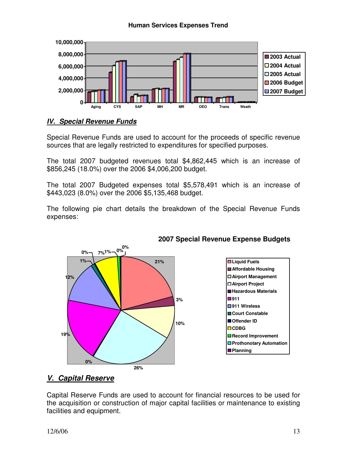#### **Human Services Expenses Trend**



#### **IV. Special Revenue Funds**

Special Revenue Funds are used to account for the proceeds of specific revenue sources that are legally restricted to expenditures for specified purposes.

The total 2007 budgeted revenues total \$4,862,445 which is an increase of \$856,245 (18.0%) over the 2006 \$4,006,200 budget.

The total 2007 Budgeted expenses total \$5,578,491 which is an increase of \$443,023 (8.0%) over the 2006 \$5,135,468 budget.

The following pie chart details the breakdown of the Special Revenue Funds expenses:



### **2007 Special Revenue Expense Budgets**

### **V. Capital Reserve**

Capital Reserve Funds are used to account for financial resources to be used for the acquisition or construction of major capital facilities or maintenance to existing facilities and equipment.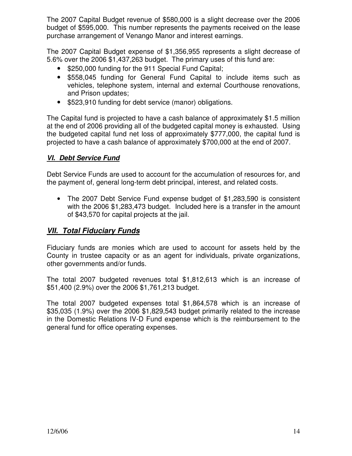The 2007 Capital Budget revenue of \$580,000 is a slight decrease over the 2006 budget of \$595,000. This number represents the payments received on the lease purchase arrangement of Venango Manor and interest earnings.

The 2007 Capital Budget expense of \$1,356,955 represents a slight decrease of 5.6% over the 2006 \$1,437,263 budget. The primary uses of this fund are:

- \$250,000 funding for the 911 Special Fund Capital;
- \$558,045 funding for General Fund Capital to include items such as vehicles, telephone system, internal and external Courthouse renovations, and Prison updates;
- \$523,910 funding for debt service (manor) obligations.

The Capital fund is projected to have a cash balance of approximately \$1.5 million at the end of 2006 providing all of the budgeted capital money is exhausted. Using the budgeted capital fund net loss of approximately \$777,000, the capital fund is projected to have a cash balance of approximately \$700,000 at the end of 2007.

### **VI. Debt Service Fund**

Debt Service Funds are used to account for the accumulation of resources for, and the payment of, general long-term debt principal, interest, and related costs.

• The 2007 Debt Service Fund expense budget of \$1,283,590 is consistent with the 2006 \$1,283,473 budget. Included here is a transfer in the amount of \$43,570 for capital projects at the jail.

### **VII. Total Fiduciary Funds**

Fiduciary funds are monies which are used to account for assets held by the County in trustee capacity or as an agent for individuals, private organizations, other governments and/or funds.

The total 2007 budgeted revenues total \$1,812,613 which is an increase of \$51,400 (2.9%) over the 2006 \$1,761,213 budget.

The total 2007 budgeted expenses total \$1,864,578 which is an increase of \$35,035 (1.9%) over the 2006 \$1,829,543 budget primarily related to the increase in the Domestic Relations IV-D Fund expense which is the reimbursement to the general fund for office operating expenses.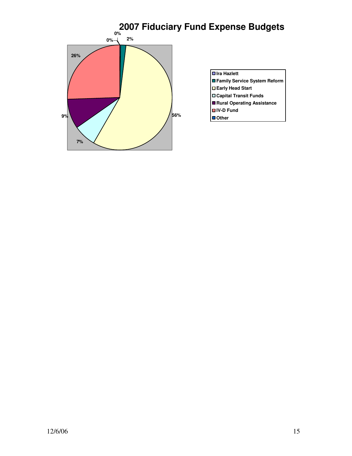

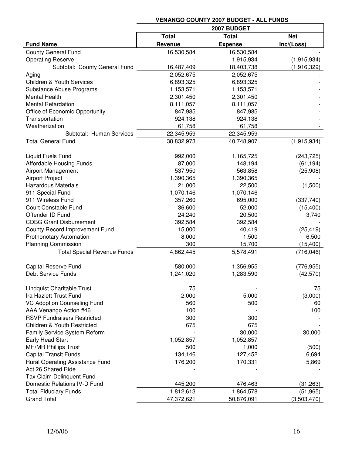|                                        | 2007 BUDGET  |                |             |  |  |
|----------------------------------------|--------------|----------------|-------------|--|--|
|                                        | <b>Total</b> | <b>Net</b>     |             |  |  |
| <b>Fund Name</b>                       | Revenue      | <b>Expense</b> | Inc/(Loss)  |  |  |
| <b>County General Fund</b>             | 16,530,584   | 16,530,584     |             |  |  |
| <b>Operating Reserve</b>               |              | 1,915,934      | (1,915,934) |  |  |
| Subtotal: County General Fund          | 16,487,409   | 18,403,738     | (1,916,329) |  |  |
| Aging                                  | 2,052,675    | 2,052,675      |             |  |  |
| <b>Children &amp; Youth Services</b>   | 6,893,325    | 6,893,325      |             |  |  |
| Substance Abuse Programs               | 1,153,571    | 1,153,571      |             |  |  |
| <b>Mental Health</b>                   | 2,301,450    | 2,301,450      |             |  |  |
| <b>Mental Retardation</b>              | 8,111,057    | 8,111,057      |             |  |  |
| Office of Economic Opportunity         | 847,985      | 847,985        |             |  |  |
| Transportation                         | 924,138      | 924,138        |             |  |  |
| Weatherization                         | 61,758       | 61,758         |             |  |  |
| Subtotal: Human Services               | 22,345,959   | 22,345,959     |             |  |  |
| <b>Total General Fund</b>              | 38,832,973   | 40,748,907     | (1,915,934) |  |  |
| <b>Liquid Fuels Fund</b>               | 992,000      | 1,165,725      | (243, 725)  |  |  |
| Affordable Housing Funds               | 87,000       | 148,194        | (61, 194)   |  |  |
| <b>Airport Management</b>              | 537,950      | 563,858        | (25,908)    |  |  |
| <b>Airport Project</b>                 | 1,390,365    | 1,390,365      |             |  |  |
| <b>Hazardous Materials</b>             | 21,000       | 22,500         | (1,500)     |  |  |
| 911 Special Fund                       | 1,070,146    | 1,070,146      |             |  |  |
| 911 Wireless Fund                      | 357,260      | 695,000        | (337,740)   |  |  |
| <b>Court Constable Fund</b>            | 36,600       | 52,000         | (15, 400)   |  |  |
| Offender ID Fund                       | 24,240       | 20,500         | 3,740       |  |  |
| <b>CDBG Grant Disbursement</b>         | 392,584      | 392,584        |             |  |  |
| County Record Improvement Fund         | 15,000       | 40,419         | (25, 419)   |  |  |
| <b>Prothonotary Automation</b>         | 8,000        | 1,500          | 6,500       |  |  |
| <b>Planning Commission</b>             | 300          | 15,700         | (15, 400)   |  |  |
| <b>Total Special Revenue Funds</b>     | 4,862,445    | 5,578,491      | (716, 046)  |  |  |
| <b>Capital Reserve Fund</b>            | 580,000      | 1,356,955      | (776, 955)  |  |  |
| Debt Service Funds                     | 1,241,020    | 1,283,590      | (42, 570)   |  |  |
| <b>Lindquist Charitable Trust</b>      | 75           |                | 75          |  |  |
| Ira Hazlett Trust Fund                 | 2,000        | 5,000          | (3,000)     |  |  |
| <b>VC Adoption Counseling Fund</b>     | 560          | 500            | 60          |  |  |
| AAA Venango Action #46                 | 100          |                | 100         |  |  |
| <b>RSVP Fundraisers Restricted</b>     | 300          | 300            |             |  |  |
| <b>Children &amp; Youth Restricted</b> | 675          | 675            |             |  |  |
| <b>Family Service System Reform</b>    |              | 30,000         | 30,000      |  |  |
| Early Head Start                       | 1,052,857    | 1,052,857      |             |  |  |
| <b>MH/MR Phillips Trust</b>            | 500          | 1,000          | (500)       |  |  |
| <b>Capital Transit Funds</b>           | 134,146      | 127,452        | 6,694       |  |  |
| <b>Rural Operating Assistance Fund</b> | 176,200      | 170,331        | 5,869       |  |  |
| Act 26 Shared Ride                     |              |                |             |  |  |
| Tax Claim Delinquent Fund              |              |                |             |  |  |
| Domestic Relations IV-D Fund           | 445,200      | 476,463        | (31, 263)   |  |  |
| <b>Total Fiduciary Funds</b>           | 1,812,613    | 1,864,578      | (51, 965)   |  |  |
| <b>Grand Total</b>                     | 47,372,621   | 50,876,091     | (3,503,470) |  |  |

### **VENANGO COUNTY 2007 BUDGET - ALL FUNDS**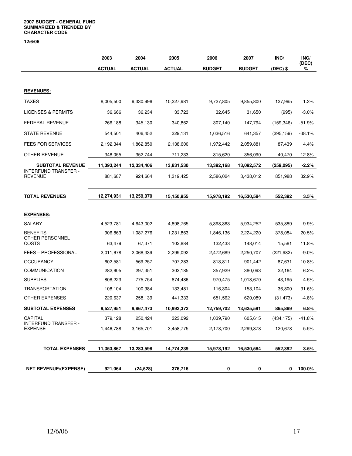#### **2007 BUDGET - GENERAL FUND SUMMARIZED & TRENDED BY CHARACTER CODE**

**12/6/06** 

|                                        | 2003          | 2004          | 2005          | 2006          | 2007          | INC/       | INC/       |
|----------------------------------------|---------------|---------------|---------------|---------------|---------------|------------|------------|
|                                        | <b>ACTUAL</b> | <b>ACTUAL</b> | <b>ACTUAL</b> | <b>BUDGET</b> | <b>BUDGET</b> | $(DEC)$ \$ | (DEC)<br>% |
|                                        |               |               |               |               |               |            |            |
| <b>REVENUES:</b>                       |               |               |               |               |               |            |            |
| <b>TAXES</b>                           | 8,005,500     | 9,330.996     | 10,227,981    | 9,727,805     | 9,855,800     | 127,995    | 1.3%       |
| <b>LICENSES &amp; PERMITS</b>          | 36,666        | 36,234        | 33,723        | 32,645        | 31,650        | (995)      | $-3.0%$    |
| <b>FEDERAL REVENUE</b>                 | 266,188       | 345,130       | 340,862       | 307,140       | 147,794       | (159, 346) | $-51.9%$   |
| <b>STATE REVENUE</b>                   | 544,501       | 406,452       | 329,131       | 1,036,516     | 641,357       | (395, 159) | $-38.1%$   |
| <b>FEES FOR SERVICES</b>               | 2,192,344     | 1,862,850     | 2,138,600     | 1,972,442     | 2,059,881     | 87,439     | 4.4%       |
| OTHER REVENUE                          | 348,055       | 352,744       | 711,233       | 315,620       | 356,090       | 40,470     | 12.8%      |
| <b>SUBTOTAL REVENUE</b>                | 11,393,244    | 12,334,406    | 13,831,530    | 13,392,168    | 13,092,572    | (259, 095) | $-2.2%$    |
| INTERFUND TRANSFER -<br><b>REVENUE</b> | 881,687       | 924,664       | 1,319,425     | 2,586,024     | 3,438,012     | 851,988    | 32.9%      |
|                                        |               |               |               |               |               |            |            |
| <b>TOTAL REVENUES</b>                  | 12,274,931    | 13,259,070    | 15.150.955    | 15,978,192    | 16,530,584    | 552,392    | 3.5%       |
|                                        |               |               |               |               |               |            |            |
| <b>EXPENSES:</b>                       |               |               |               |               |               |            |            |
| SALARY                                 | 4,523,781     | 4,643,002     | 4,898,765     | 5,398,363     | 5,934,252     | 535,889    | 9.9%       |
| <b>BENEFITS</b><br>OTHER PERSONNEL     | 906,863       | 1,087,276     | 1,231,863     | 1,846,136     | 2,224,220     | 378,084    | 20.5%      |
| COSTS                                  | 63,479        | 67,371        | 102,884       | 132,433       | 148,014       | 15,581     | 11.8%      |
| <b>FEES - PROFESSIONAL</b>             | 2,011,678     | 2,068,339     | 2,299,092     | 2,472,689     | 2,250,707     | (221, 982) | $-9.0\%$   |
| <b>OCCUPANCY</b>                       | 602,581       | 569,257       | 707,283       | 813,811       | 901,442       | 87,631     | 10.8%      |
| <b>COMMUNICATION</b>                   | 282,605       | 297,351       | 303,185       | 357,929       | 380,093       | 22,164     | 6.2%       |
| <b>SUPPLIES</b>                        | 808,223       | 775,754       | 874,486       | 970,475       | 1,013,670     | 43,195     | 4.5%       |
| <b>TRANSPORTATION</b>                  | 108,104       | 100,984       | 133,481       | 116,304       | 153,104       | 36,800     | 31.6%      |
| OTHER EXPENSES                         | 220,637       | 258,139       | 441,333       | 651,562       | 620,089       | (31, 473)  | -4.8%      |
| <b>SUBTOTAL EXPENSES</b>               | 9,527,951     | 9,867,473     | 10,992,372    | 12,759,702    | 13,625,591    | 865,889    | 6.8%       |
| CAPITAL                                | 379,128       | 250,424       | 323,092       | 1,039,790     | 605,615       | (434, 175) | $-41.8%$   |
| INTERFUND TRANSFER -<br><b>EXPENSE</b> | 1,446,788     | 3,165,701     | 3,458,775     | 2,178,700     | 2,299,378     | 120,678    | 5.5%       |
|                                        |               |               |               |               |               |            |            |
| <b>TOTAL EXPENSES</b>                  | 11,353,867    | 13,283,598    | 14,774,239    | 15,978,192    | 16,530,584    | 552,392    | 3.5%       |
|                                        |               |               |               |               |               |            |            |
| <b>NET REVENUE/(EXPENSE)</b>           | 921,064       | (24, 528)     | 376,716       | 0             | 0             | 0          | 100.0%     |